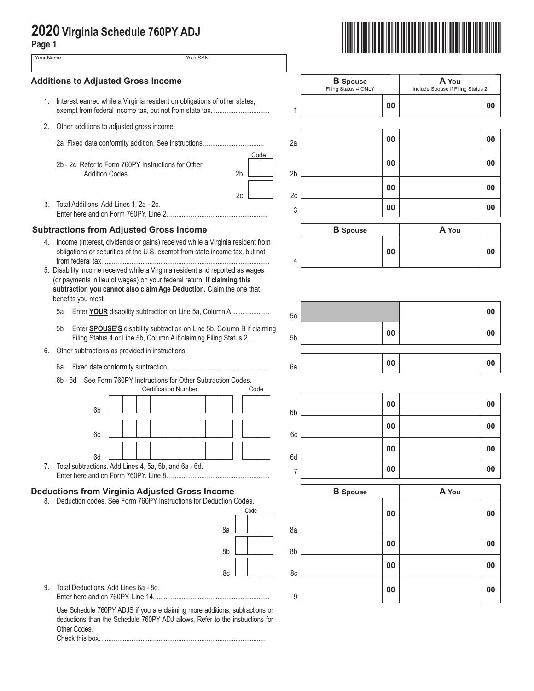L

| гаус і                                    |                                                                                                                                                                                                                                                                                                                                                                                                                          |                |                |                                         |                                            |
|-------------------------------------------|--------------------------------------------------------------------------------------------------------------------------------------------------------------------------------------------------------------------------------------------------------------------------------------------------------------------------------------------------------------------------------------------------------------------------|----------------|----------------|-----------------------------------------|--------------------------------------------|
| Your Name                                 |                                                                                                                                                                                                                                                                                                                                                                                                                          | Your SSN       |                |                                         |                                            |
| <b>Additions to Adjusted Gross Income</b> |                                                                                                                                                                                                                                                                                                                                                                                                                          |                |                | <b>B</b> Spouse<br>Filing Status 4 ONLY | A You<br>Include Spouse if Filing Status 2 |
|                                           | 1. Interest earned while a Virginia resident on obligations of other states,                                                                                                                                                                                                                                                                                                                                             |                | 1              | 00                                      | 00                                         |
| 2.                                        | Other additions to adjusted gross income.                                                                                                                                                                                                                                                                                                                                                                                |                |                |                                         |                                            |
|                                           |                                                                                                                                                                                                                                                                                                                                                                                                                          |                | 2a             | 00                                      | 00                                         |
|                                           | 2b - 2c Refer to Form 760PY Instructions for Other                                                                                                                                                                                                                                                                                                                                                                       |                | Code           | 00                                      | 00                                         |
|                                           | Addition Codes.                                                                                                                                                                                                                                                                                                                                                                                                          | 2 <sub>b</sub> | 2 <sub>b</sub> |                                         |                                            |
|                                           |                                                                                                                                                                                                                                                                                                                                                                                                                          | 2c             | 2c             | 00                                      | 00                                         |
|                                           | 3. Total Additions. Add Lines 1, 2a - 2c.                                                                                                                                                                                                                                                                                                                                                                                |                | 3              | 00                                      | 00                                         |
|                                           | <b>Subtractions from Adjusted Gross Income</b>                                                                                                                                                                                                                                                                                                                                                                           |                |                | <b>B</b> Spouse                         | A You                                      |
|                                           | 4. Income (interest, dividends or gains) received while a Virginia resident from<br>obligations or securities of the U.S. exempt from state income tax, but not<br>5. Disability income received while a Virginia resident and reported as wages<br>(or payments in lieu of wages) on your federal return. If claiming this<br>subtraction you cannot also claim Age Deduction. Claim the one that<br>benefits you most. |                | 4              | 00                                      | 00                                         |
|                                           | Enter YOUR disability subtraction on Line 5a, Column A.<br>5a                                                                                                                                                                                                                                                                                                                                                            |                | 5a             |                                         | 00                                         |
|                                           | Enter SPOUSE'S disability subtraction on Line 5b, Column B if claiming<br>5 <sub>b</sub><br>Filing Status 4 or Line 5b, Column A if claiming Filing Status 2                                                                                                                                                                                                                                                             |                | 5b             | 00                                      | 00                                         |
| 6.                                        | Other subtractions as provided in instructions.<br>6а                                                                                                                                                                                                                                                                                                                                                                    |                | 6a             | 00                                      | 00                                         |
|                                           | 6b - 6d See Form 760PY Instructions for Other Subtraction Codes.                                                                                                                                                                                                                                                                                                                                                         |                |                |                                         |                                            |
|                                           | <b>Certification Number</b>                                                                                                                                                                                                                                                                                                                                                                                              |                | Code           |                                         |                                            |
|                                           | 6b                                                                                                                                                                                                                                                                                                                                                                                                                       |                | 6b             | 00                                      | 00                                         |
|                                           | 6c                                                                                                                                                                                                                                                                                                                                                                                                                       |                | 6c             | 00                                      | 00                                         |
|                                           | 6d                                                                                                                                                                                                                                                                                                                                                                                                                       |                | 6d             | 00                                      | 00                                         |
|                                           | 7. Total subtractions. Add Lines 4, 5a, 5b, and 6a - 6d.                                                                                                                                                                                                                                                                                                                                                                 |                | 7              | 00                                      | 00                                         |
|                                           | <b>Deductions from Virginia Adjusted Gross Income</b>                                                                                                                                                                                                                                                                                                                                                                    |                |                | <b>B</b> Spouse                         | A You                                      |
|                                           | 8. Deduction codes. See Form 760PY Instructions for Deduction Codes.                                                                                                                                                                                                                                                                                                                                                     |                | Code           | 00                                      | 00                                         |
|                                           |                                                                                                                                                                                                                                                                                                                                                                                                                          | 8a             | 8a             | 00                                      | 00                                         |
|                                           |                                                                                                                                                                                                                                                                                                                                                                                                                          | 8b             | 8b             |                                         |                                            |
|                                           |                                                                                                                                                                                                                                                                                                                                                                                                                          | 8c             | 8c             | 00                                      | 00                                         |
| 9.                                        | Total Deductions, Add Lines 8a - 8c.                                                                                                                                                                                                                                                                                                                                                                                     |                | 9              | 00                                      | 00                                         |
|                                           | Use Schedule 760PY ADJS if you are claiming more additions, subtractions or<br>deductions than the Schedule 760PY ADJ allows. Refer to the instructions for<br>Other Codes.                                                                                                                                                                                                                                              |                |                |                                         |                                            |